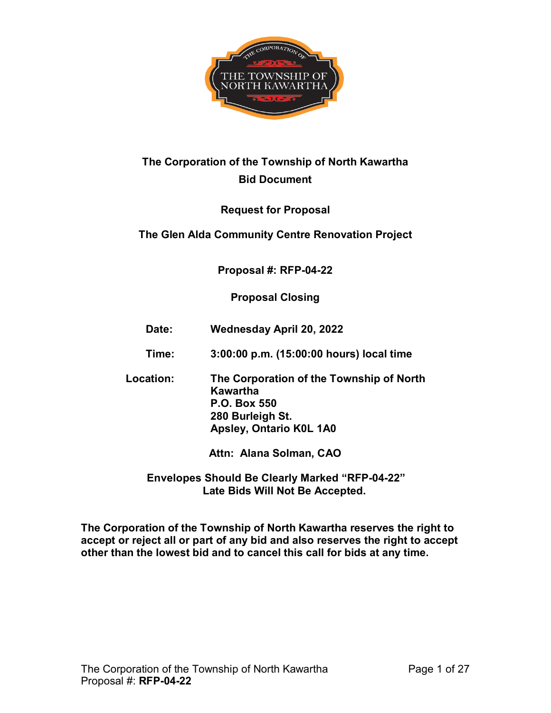

# **The Corporation of the Township of North Kawartha Bid Document**

# **Request for Proposal**

# **The Glen Alda Community Centre Renovation Project**

# **Proposal #: RFP-04-22**

# **Proposal Closing**

- **Date: Wednesday April 20, 2022**
- **Time: 3:00:00 p.m. (15:00:00 hours) local time**
- **Location: The Corporation of the Township of North Kawartha P.O. Box 550 280 Burleigh St. Apsley, Ontario K0L 1A0**

**Attn: Alana Solman, CAO** 

**Envelopes Should Be Clearly Marked "RFP-04-22" Late Bids Will Not Be Accepted.** 

 **The Corporation of the Township of North Kawartha reserves the right to accept or reject all or part of any bid and also reserves the right to accept other than the lowest bid and to cancel this call for bids at any time.**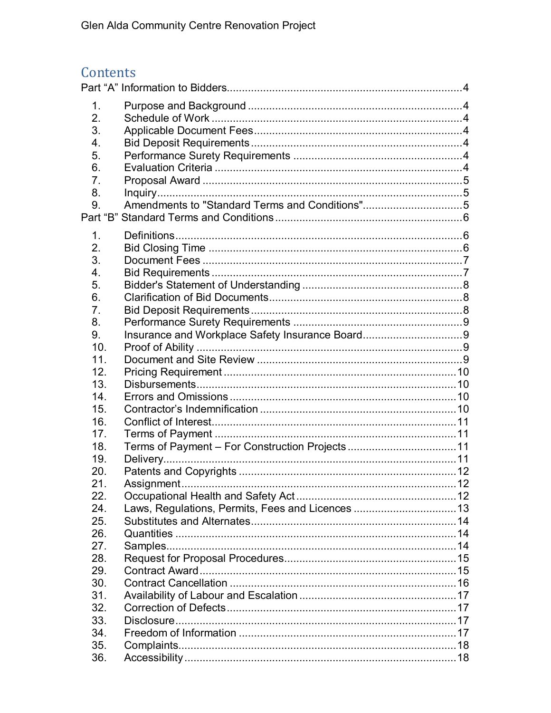# Contents

| 1.              |                                                  |     |
|-----------------|--------------------------------------------------|-----|
| 2.              |                                                  |     |
| 3.              |                                                  |     |
| 4.              |                                                  |     |
| 5.              |                                                  |     |
| 6.              |                                                  |     |
| 7.              |                                                  |     |
| 8.              |                                                  |     |
| 9.              | Amendments to "Standard Terms and Conditions"5   |     |
|                 |                                                  |     |
|                 |                                                  |     |
| 1.              |                                                  |     |
| 2.              |                                                  |     |
| 3.              |                                                  |     |
| 4.              |                                                  |     |
| 5.              |                                                  |     |
| 6.              |                                                  |     |
| 7.              |                                                  |     |
| 8.              |                                                  |     |
| 9.              | Insurance and Workplace Safety Insurance Board9  |     |
| 10.             |                                                  |     |
| 11 <sub>1</sub> |                                                  |     |
| 12.             |                                                  |     |
| 13.             |                                                  |     |
| 14.             |                                                  |     |
| 15.             |                                                  |     |
| 16.             |                                                  |     |
| 17.             |                                                  |     |
| 18.             |                                                  |     |
| 19.             |                                                  |     |
| 20.             |                                                  |     |
| 21              |                                                  | .12 |
| 22.             |                                                  |     |
| 24.             | Laws, Regulations, Permits, Fees and Licences 13 |     |
| 25.             |                                                  |     |
| 26.             |                                                  |     |
| 27.             |                                                  |     |
| 28.             |                                                  |     |
| 29.             |                                                  |     |
| 30.             |                                                  |     |
| 31.             |                                                  |     |
| 32.             |                                                  |     |
| 33.             |                                                  |     |
| 34.             |                                                  |     |
| 35.             |                                                  |     |
| 36.             |                                                  |     |
|                 |                                                  |     |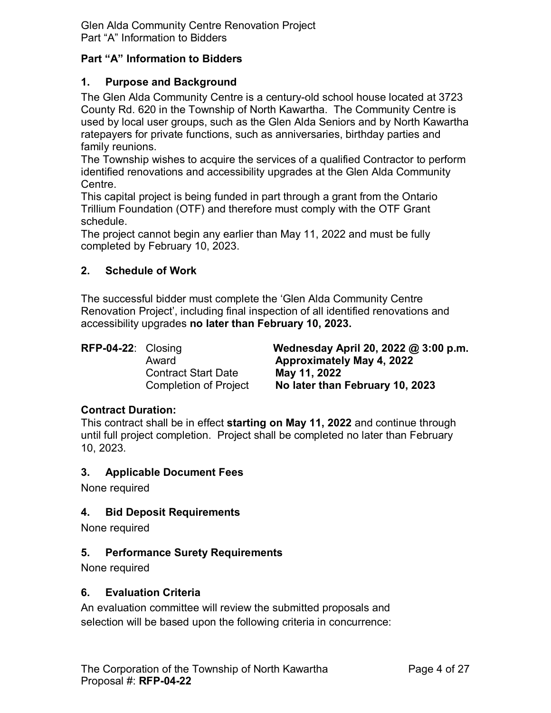Glen Alda Community Centre Renovation Project Part "A" Information to Bidders

#### <span id="page-3-0"></span>**Part "A" Information to Bidders**

#### <span id="page-3-1"></span>**1. Purpose and Background**

 used by local user groups, such as the Glen Alda Seniors and by North Kawartha family reunions. The Glen Alda Community Centre is a century-old school house located at 3723 County Rd. 620 in the Township of North Kawartha. The Community Centre is ratepayers for private functions, such as anniversaries, birthday parties and

Centre. The Township wishes to acquire the services of a qualified Contractor to perform identified renovations and accessibility upgrades at the Glen Alda Community

This capital project is being funded in part through a grant from the Ontario Trillium Foundation (OTF) and therefore must comply with the OTF Grant schedule.

 completed by February 10, 2023. The project cannot begin any earlier than May 11, 2022 and must be fully

#### <span id="page-3-2"></span>**2. Schedule of Work**

The successful bidder must complete the 'Glen Alda Community Centre Renovation Project', including final inspection of all identified renovations and accessibility upgrades **no later than February 10, 2023.** 

RFP-04-22: Closing

Contract Start Date **May 11, 2022** 

**Wednesday April 20, 2022 @ 3:00 p.m.** Award **Approximately May 4, 2022**  Completion of Project **No later than February 10, 2023** 

#### **Contract Duration:**

 until full project completion. Project shall be completed no later than February This contract shall be in effect **starting on May 11, 2022** and continue through 10, 2023.

#### <span id="page-3-3"></span>**3. Applicable Document Fees**

None required

# <span id="page-3-4"></span>**4. Bid Deposit Requirements**

None required

# <span id="page-3-5"></span>**5. Performance Surety Requirements**

None required

#### <span id="page-3-6"></span>**6. Evaluation Criteria**

An evaluation committee will review the submitted proposals and selection will be based upon the following criteria in concurrence: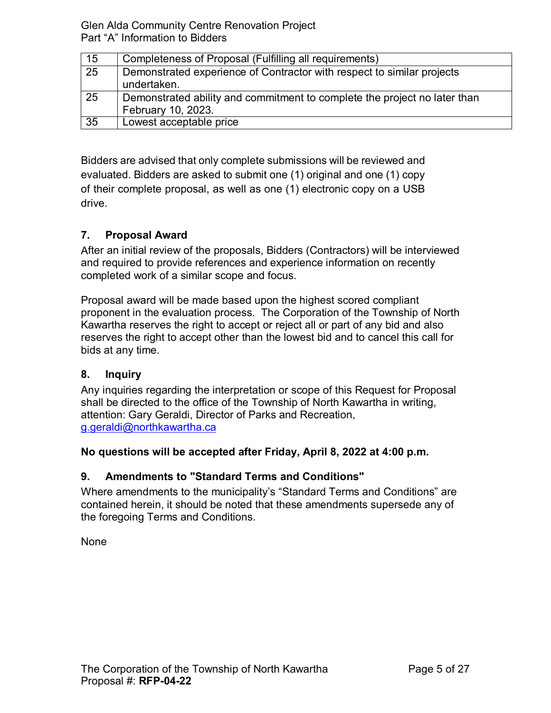Glen Alda Community Centre Renovation Project Part "A" Information to Bidders

| 15              | Completeness of Proposal (Fulfilling all requirements)                                |
|-----------------|---------------------------------------------------------------------------------------|
| $\overline{25}$ | Demonstrated experience of Contractor with respect to similar projects<br>undertaken. |
|                 |                                                                                       |
| 25              | Demonstrated ability and commitment to complete the project no later than             |
|                 | February 10, 2023.                                                                    |
| $\overline{35}$ | Lowest acceptable price                                                               |

Bidders are advised that only complete submissions will be reviewed and evaluated. Bidders are asked to submit one (1) original and one (1) copy of their complete proposal, as well as one (1) electronic copy on a USB drive.

# <span id="page-4-0"></span>**7. Proposal Award**

 After an initial review of the proposals, Bidders (Contractors) will be interviewed and required to provide references and experience information on recently completed work of a similar scope and focus.

 proponent in the evaluation process. The Corporation of the Township of North Proposal award will be made based upon the highest scored compliant Kawartha reserves the right to accept or reject all or part of any bid and also reserves the right to accept other than the lowest bid and to cancel this call for bids at any time.

# <span id="page-4-1"></span>**8. Inquiry**

Any inquiries regarding the interpretation or scope of this Request for Proposal shall be directed to the office of the Township of North Kawartha in writing, attention: Gary Geraldi, Director of Parks and Recreation, [g.geraldi@northkawartha.ca](mailto:g.geraldi@northkawartha.ca) 

# **No questions will be accepted after Friday, April 8, 2022 at 4:00 p.m.**

# <span id="page-4-2"></span>**9. Amendments to "Standard Terms and Conditions"**

Where amendments to the municipality's "Standard Terms and Conditions" are contained herein, it should be noted that these amendments supersede any of the foregoing Terms and Conditions.

None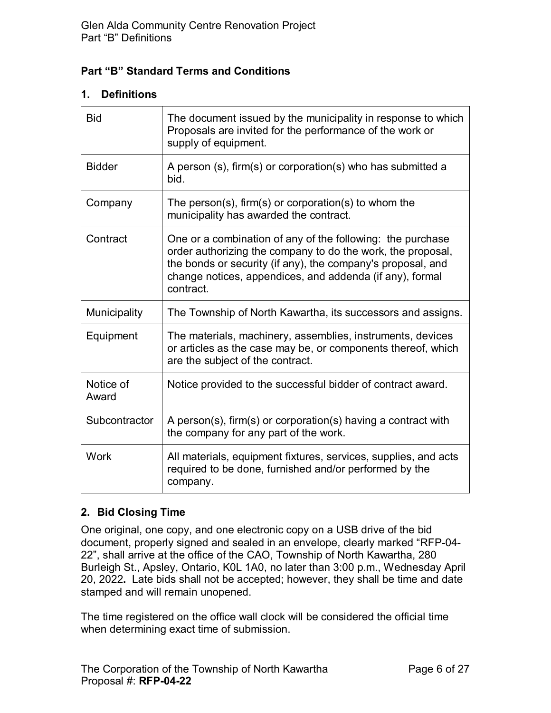# <span id="page-5-0"></span>**Part "B" Standard Terms and Conditions**

# <span id="page-5-1"></span>**1. Definitions**

| <b>Bid</b>         | The document issued by the municipality in response to which<br>Proposals are invited for the performance of the work or<br>supply of equipment.                                                                                                                  |
|--------------------|-------------------------------------------------------------------------------------------------------------------------------------------------------------------------------------------------------------------------------------------------------------------|
| <b>Bidder</b>      | A person (s), firm(s) or corporation(s) who has submitted a<br>bid.                                                                                                                                                                                               |
| Company            | The person(s), firm(s) or corporation(s) to whom the<br>municipality has awarded the contract.                                                                                                                                                                    |
| Contract           | One or a combination of any of the following: the purchase<br>order authorizing the company to do the work, the proposal,<br>the bonds or security (if any), the company's proposal, and<br>change notices, appendices, and addenda (if any), formal<br>contract. |
| Municipality       | The Township of North Kawartha, its successors and assigns.                                                                                                                                                                                                       |
| Equipment          | The materials, machinery, assemblies, instruments, devices<br>or articles as the case may be, or components thereof, which<br>are the subject of the contract.                                                                                                    |
| Notice of<br>Award | Notice provided to the successful bidder of contract award.                                                                                                                                                                                                       |
| Subcontractor      | A person(s), firm(s) or corporation(s) having a contract with<br>the company for any part of the work.                                                                                                                                                            |
| <b>Work</b>        | All materials, equipment fixtures, services, supplies, and acts<br>required to be done, furnished and/or performed by the<br>company.                                                                                                                             |

# <span id="page-5-2"></span>**2. Bid Closing Time**

 Burleigh St., Apsley, Ontario, K0L 1A0, no later than 3:00 p.m., Wednesday April 20, 2022**.** Late bids shall not be accepted; however, they shall be time and date stamped and will remain unopened. One original, one copy, and one electronic copy on a USB drive of the bid document, properly signed and sealed in an envelope, clearly marked "RFP-04- 22", shall arrive at the office of the CAO, Township of North Kawartha, 280

The time registered on the office wall clock will be considered the official time when determining exact time of submission.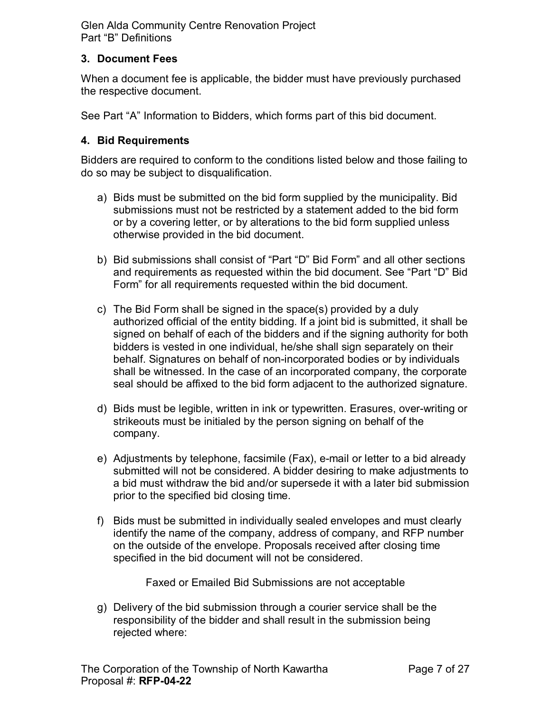# <span id="page-6-0"></span>**3. Document Fees**

When a document fee is applicable, the bidder must have previously purchased the respective document.

See Part "A" Information to Bidders, which forms part of this bid document.

# <span id="page-6-1"></span>**4. Bid Requirements**

Bidders are required to conform to the conditions listed below and those failing to do so may be subject to disqualification.

- a) Bids must be submitted on the bid form supplied by the municipality. Bid submissions must not be restricted by a statement added to the bid form or by a covering letter, or by alterations to the bid form supplied unless otherwise provided in the bid document.
- b) Bid submissions shall consist of "Part "D" Bid Form" and all other sections and requirements as requested within the bid document. See "Part "D" Bid Form" for all requirements requested within the bid document.
- behalf. Signatures on behalf of non-incorporated bodies or by individuals c) The Bid Form shall be signed in the space(s) provided by a duly authorized official of the entity bidding. If a joint bid is submitted, it shall be signed on behalf of each of the bidders and if the signing authority for both bidders is vested in one individual, he/she shall sign separately on their shall be witnessed. In the case of an incorporated company, the corporate seal should be affixed to the bid form adjacent to the authorized signature.
- d) Bids must be legible, written in ink or typewritten. Erasures, over-writing or strikeouts must be initialed by the person signing on behalf of the company.
- e) Adjustments by telephone, facsimile (Fax), e-mail or letter to a bid already submitted will not be considered. A bidder desiring to make adjustments to a bid must withdraw the bid and/or supersede it with a later bid submission prior to the specified bid closing time.
- f) Bids must be submitted in individually sealed envelopes and must clearly identify the name of the company, address of company, and RFP number on the outside of the envelope. Proposals received after closing time specified in the bid document will not be considered.

Faxed or Emailed Bid Submissions are not acceptable

 responsibility of the bidder and shall result in the submission being g) Delivery of the bid submission through a courier service shall be the rejected where: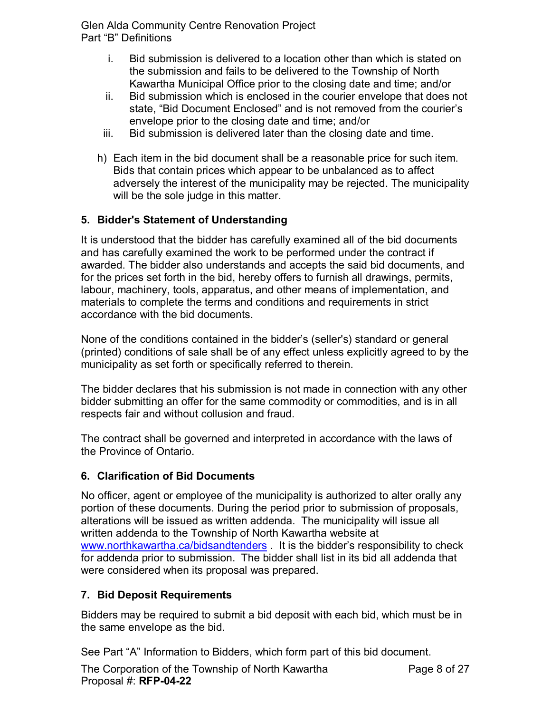- i. Bid submission is delivered to a location other than which is stated on the submission and fails to be delivered to the Township of North Kawartha Municipal Office prior to the closing date and time; and/or
- ii. Bid submission which is enclosed in the courier envelope that does not state, "Bid Document Enclosed" and is not removed from the courier's envelope prior to the closing date and time; and/or
- iii. Bid submission is delivered later than the closing date and time.
- Bids that contain prices which appear to be unbalanced as to affect h) Each item in the bid document shall be a reasonable price for such item. adversely the interest of the municipality may be rejected. The municipality will be the sole judge in this matter.

# <span id="page-7-0"></span>**5. Bidder's Statement of Understanding**

It is understood that the bidder has carefully examined all of the bid documents and has carefully examined the work to be performed under the contract if awarded. The bidder also understands and accepts the said bid documents, and for the prices set forth in the bid, hereby offers to furnish all drawings, permits, labour, machinery, tools, apparatus, and other means of implementation, and materials to complete the terms and conditions and requirements in strict accordance with the bid documents.

None of the conditions contained in the bidder's (seller's) standard or general (printed) conditions of sale shall be of any effect unless explicitly agreed to by the municipality as set forth or specifically referred to therein.

 The bidder declares that his submission is not made in connection with any other bidder submitting an offer for the same commodity or commodities, and is in all respects fair and without collusion and fraud.

The contract shall be governed and interpreted in accordance with the laws of the Province of Ontario.

# <span id="page-7-1"></span>**6. Clarification of Bid Documents**

 alterations will be issued as written addenda. The municipality will issue all for addenda prior to submission. The bidder shall list in its bid all addenda that No officer, agent or employee of the municipality is authorized to alter orally any portion of these documents. During the period prior to submission of proposals, written addenda to the Township of North Kawartha website at [www.northkawartha.ca/bidsandtenders](http://www.northkawartha.ca/bidsandtenders) . It is the bidder's responsibility to check were considered when its proposal was prepared.

# <span id="page-7-2"></span>**7. Bid Deposit Requirements**

Bidders may be required to submit a bid deposit with each bid, which must be in the same envelope as the bid.

See Part "A" Information to Bidders, which form part of this bid document.

The Corporation of the Township of North Kawartha Proposal #: **RFP-04-22**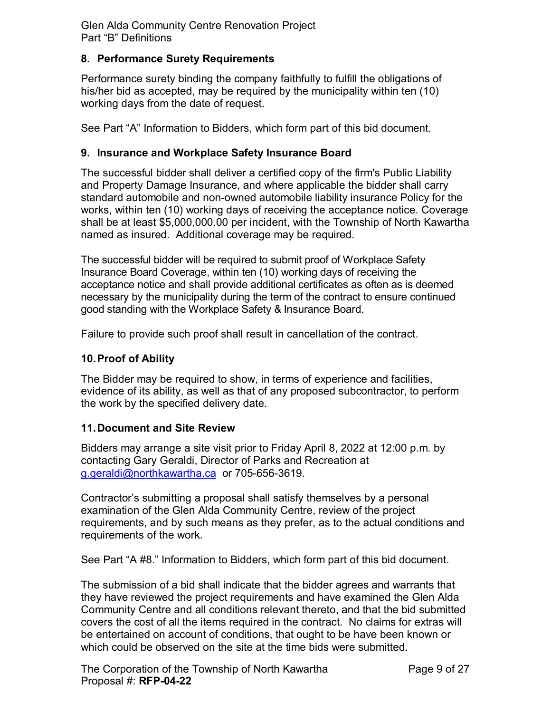# <span id="page-8-0"></span>**8. Performance Surety Requirements**

 Performance surety binding the company faithfully to fulfill the obligations of working days from the date of request. his/her bid as accepted, may be required by the municipality within ten (10)

See Part "A" Information to Bidders, which form part of this bid document.

#### <span id="page-8-1"></span>**9. Insurance and Workplace Safety Insurance Board**

The successful bidder shall deliver a certified copy of the firm's Public Liability and Property Damage Insurance, and where applicable the bidder shall carry standard automobile and non-owned automobile liability insurance Policy for the works, within ten (10) working days of receiving the acceptance notice. Coverage shall be at least \$[5,000,000.00](https://5,000,000.00) per incident, with the Township of North Kawartha named as insured. Additional coverage may be required.

 acceptance notice and shall provide additional certificates as often as is deemed The successful bidder will be required to submit proof of Workplace Safety Insurance Board Coverage, within ten (10) working days of receiving the necessary by the municipality during the term of the contract to ensure continued good standing with the Workplace Safety & Insurance Board.

Failure to provide such proof shall result in cancellation of the contract.

#### <span id="page-8-2"></span>**10.Proof of Ability**

 evidence of its ability, as well as that of any proposed subcontractor, to perform The Bidder may be required to show, in terms of experience and facilities, the work by the specified delivery date.

#### <span id="page-8-3"></span>**11.Document and Site Review**

<u>g.geraldi@northkawartha.ca</u> or 705-656-3619. Bidders may arrange a site visit prior to Friday April 8, 2022 at 12:00 p.m. by contacting Gary Geraldi, Director of Parks and Recreation at

requirements of the work. Contractor's submitting a proposal shall satisfy themselves by a personal examination of the Glen Alda Community Centre, review of the project requirements, and by such means as they prefer, as to the actual conditions and

See Part "A #8." Information to Bidders, which form part of this bid document.

 Community Centre and all conditions relevant thereto, and that the bid submitted covers the cost of all the items required in the contract. No claims for extras will The submission of a bid shall indicate that the bidder agrees and warrants that they have reviewed the project requirements and have examined the Glen Alda be entertained on account of conditions, that ought to be have been known or which could be observed on the site at the time bids were submitted.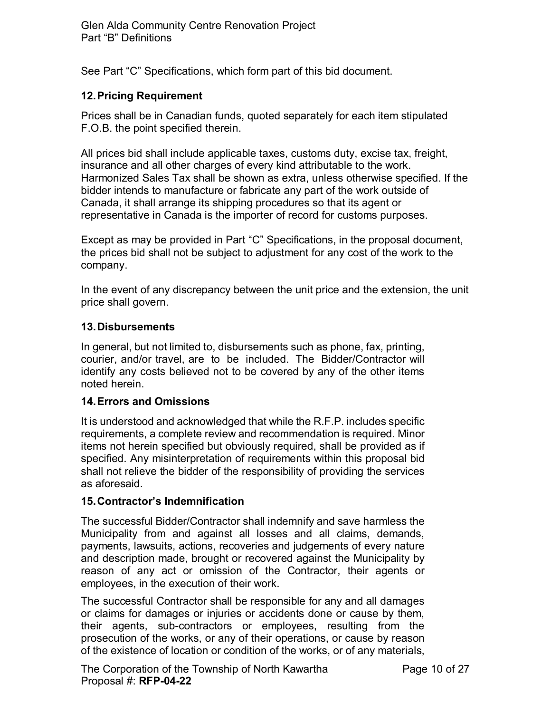See Part "C" Specifications, which form part of this bid document.

# <span id="page-9-0"></span>**12.Pricing Requirement**

Prices shall be in Canadian funds, quoted separately for each item stipulated F.O.B. the point specified therein.

 All prices bid shall include applicable taxes, customs duty, excise tax, freight, Canada, it shall arrange its shipping procedures so that its agent or insurance and all other charges of every kind attributable to the work. Harmonized Sales Tax shall be shown as extra, unless otherwise specified. If the bidder intends to manufacture or fabricate any part of the work outside of representative in Canada is the importer of record for customs purposes.

Except as may be provided in Part "C" Specifications, in the proposal document, the prices bid shall not be subject to adjustment for any cost of the work to the company.

In the event of any discrepancy between the unit price and the extension, the unit price shall govern.

#### <span id="page-9-1"></span>**13.Disbursements**

 courier, and/or travel, are to be included. The Bidder/Contractor will identify any costs believed not to be covered by any of the other items In general, but not limited to, disbursements such as phone, fax, printing, noted herein.

#### <span id="page-9-2"></span>**14.Errors and Omissions**

 items not herein specified but obviously required, shall be provided as if It is understood and acknowledged that while the R.F.P. includes specific requirements, a complete review and recommendation is required. Minor specified. Any misinterpretation of requirements within this proposal bid shall not relieve the bidder of the responsibility of providing the services as aforesaid.

# <span id="page-9-3"></span>**15.Contractor's Indemnification**

 reason of any act or omission of the Contractor, their agents or The successful Bidder/Contractor shall indemnify and save harmless the Municipality from and against all losses and all claims, demands, payments, lawsuits, actions, recoveries and judgements of every nature and description made, brought or recovered against the Municipality by employees, in the execution of their work.

 The successful Contractor shall be responsible for any and all damages or claims for damages or injuries or accidents done or cause by them, their agents, sub-contractors or employees, resulting from the prosecution of the works, or any of their operations, or cause by reason of the existence of location or condition of the works, or of any materials,

The Corporation of the Township of North Kawartha Proposal #: **RFP-04-22**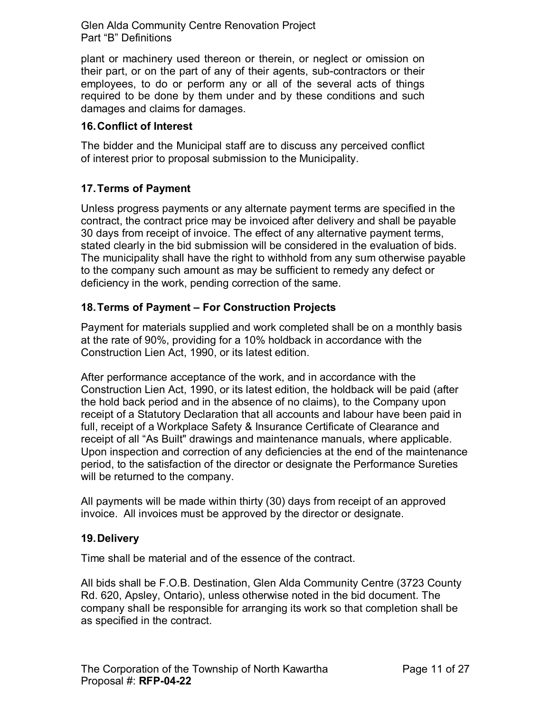their part, or on the part of any of their agents, sub-contractors or their required to be done by them under and by these conditions and such plant or machinery used thereon or therein, or neglect or omission on employees, to do or perform any or all of the several acts of things damages and claims for damages.

#### <span id="page-10-0"></span>**16.Conflict of Interest**

The bidder and the Municipal staff are to discuss any perceived conflict of interest prior to proposal submission to the Municipality.

# <span id="page-10-1"></span>**17.Terms of Payment**

 30 days from receipt of invoice. The effect of any alternative payment terms, Unless progress payments or any alternate payment terms are specified in the contract, the contract price may be invoiced after delivery and shall be payable stated clearly in the bid submission will be considered in the evaluation of bids. The municipality shall have the right to withhold from any sum otherwise payable to the company such amount as may be sufficient to remedy any defect or deficiency in the work, pending correction of the same.

# <span id="page-10-2"></span>**18.Terms of Payment – For Construction Projects**

Payment for materials supplied and work completed shall be on a monthly basis at the rate of 90%, providing for a 10% holdback in accordance with the Construction Lien Act, 1990, or its latest edition.

 Construction Lien Act, 1990, or its latest edition, the holdback will be paid (after full, receipt of a Workplace Safety & Insurance Certificate of Clearance and After performance acceptance of the work, and in accordance with the the hold back period and in the absence of no claims), to the Company upon receipt of a Statutory Declaration that all accounts and labour have been paid in receipt of all "As Built" drawings and maintenance manuals, where applicable. Upon inspection and correction of any deficiencies at the end of the maintenance period, to the satisfaction of the director or designate the Performance Sureties will be returned to the company.

 All payments will be made within thirty (30) days from receipt of an approved invoice. All invoices must be approved by the director or designate.

# <span id="page-10-3"></span>**19.Delivery**

Time shall be material and of the essence of the contract.

All bids shall be F.O.B. Destination, Glen Alda Community Centre (3723 County Rd. 620, Apsley, Ontario), unless otherwise noted in the bid document. The company shall be responsible for arranging its work so that completion shall be as specified in the contract.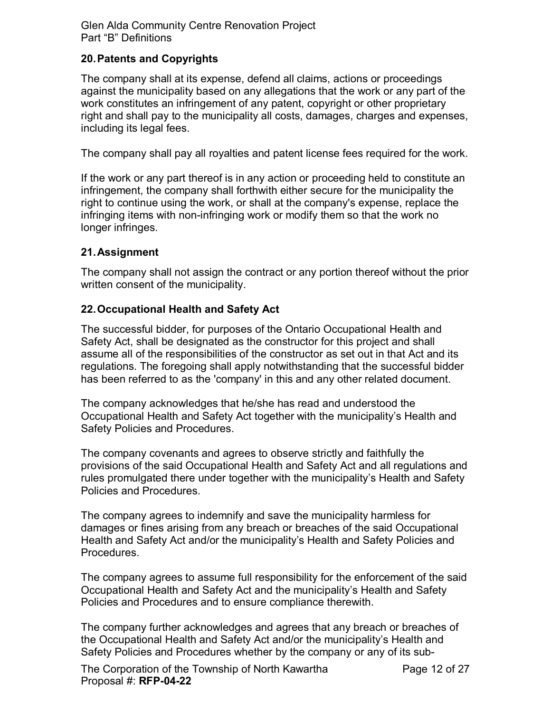#### <span id="page-11-0"></span>**20.Patents and Copyrights**

 work constitutes an infringement of any patent, copyright or other proprietary The company shall at its expense, defend all claims, actions or proceedings against the municipality based on any allegations that the work or any part of the right and shall pay to the municipality all costs, damages, charges and expenses, including its legal fees.

The company shall pay all royalties and patent license fees required for the work.

 If the work or any part thereof is in any action or proceeding held to constitute an infringement, the company shall forthwith either secure for the municipality the right to continue using the work, or shall at the company's expense, replace the infringing items with non-infringing work or modify them so that the work no longer infringes.

#### <span id="page-11-1"></span>**21.Assignment**

The company shall not assign the contract or any portion thereof without the prior written consent of the municipality.

#### <span id="page-11-2"></span>**22.Occupational Health and Safety Act**

The successful bidder, for purposes of the Ontario Occupational Health and Safety Act, shall be designated as the constructor for this project and shall assume all of the responsibilities of the constructor as set out in that Act and its regulations. The foregoing shall apply notwithstanding that the successful bidder has been referred to as the 'company' in this and any other related document.

The company acknowledges that he/she has read and understood the Occupational Health and Safety Act together with the municipality's Health and Safety Policies and Procedures.

 The company covenants and agrees to observe strictly and faithfully the provisions of the said Occupational Health and Safety Act and all regulations and rules promulgated there under together with the municipality's Health and Safety Policies and Procedures.

The company agrees to indemnify and save the municipality harmless for damages or fines arising from any breach or breaches of the said Occupational Health and Safety Act and/or the municipality's Health and Safety Policies and Procedures.

The company agrees to assume full responsibility for the enforcement of the said Occupational Health and Safety Act and the municipality's Health and Safety Policies and Procedures and to ensure compliance therewith.

The company further acknowledges and agrees that any breach or breaches of the Occupational Health and Safety Act and/or the municipality's Health and Safety Policies and Procedures whether by the company or any of its sub-

The Corporation of the Township of North Kawartha Proposal #: **RFP-04-22**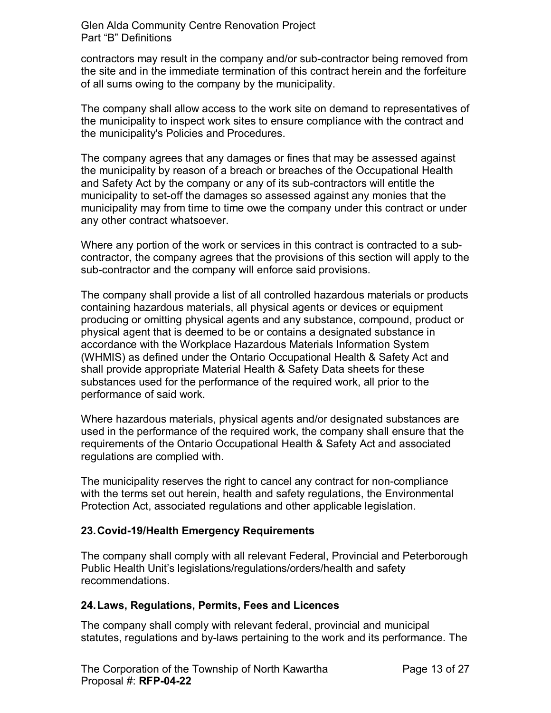contractors may result in the company and/or sub-contractor being removed from the site and in the immediate termination of this contract herein and the forfeiture of all sums owing to the company by the municipality.

The company shall allow access to the work site on demand to representatives of the municipality to inspect work sites to ensure compliance with the contract and the municipality's Policies and Procedures.

 and Safety Act by the company or any of its sub-contractors will entitle the The company agrees that any damages or fines that may be assessed against the municipality by reason of a breach or breaches of the Occupational Health municipality to set-off the damages so assessed against any monies that the municipality may from time to time owe the company under this contract or under any other contract whatsoever.

 Where any portion of the work or services in this contract is contracted to a subcontractor, the company agrees that the provisions of this section will apply to the sub-contractor and the company will enforce said provisions.

 The company shall provide a list of all controlled hazardous materials or products physical agent that is deemed to be or contains a designated substance in containing hazardous materials, all physical agents or devices or equipment producing or omitting physical agents and any substance, compound, product or accordance with the Workplace Hazardous Materials Information System (WHMIS) as defined under the Ontario Occupational Health & Safety Act and shall provide appropriate Material Health & Safety Data sheets for these substances used for the performance of the required work, all prior to the performance of said work.

Where hazardous materials, physical agents and/or designated substances are used in the performance of the required work, the company shall ensure that the requirements of the Ontario Occupational Health & Safety Act and associated regulations are complied with.

The municipality reserves the right to cancel any contract for non-compliance with the terms set out herein, health and safety regulations, the Environmental Protection Act, associated regulations and other applicable legislation.

# **23.Covid-19/Health Emergency Requirements**

 recommendations. The company shall comply with all relevant Federal, Provincial and Peterborough Public Health Unit's legislations/regulations/orders/health and safety

#### <span id="page-12-0"></span>**24.Laws, Regulations, Permits, Fees and Licences**

The company shall comply with relevant federal, provincial and municipal statutes, regulations and by-laws pertaining to the work and its performance. The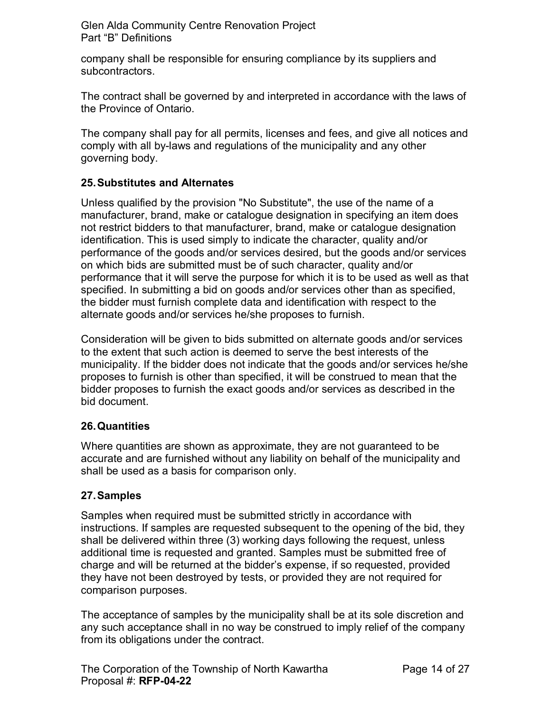company shall be responsible for ensuring compliance by its suppliers and subcontractors.

The contract shall be governed by and interpreted in accordance with the laws of the Province of Ontario.

The company shall pay for all permits, licenses and fees, and give all notices and comply with all by-laws and regulations of the municipality and any other governing body.

# <span id="page-13-0"></span>**25.Substitutes and Alternates**

 identification. This is used simply to indicate the character, quality and/or on which bids are submitted must be of such character, quality and/or performance that it will serve the purpose for which it is to be used as well as that alternate goods and/or services he/she proposes to furnish. Unless qualified by the provision "No Substitute", the use of the name of a manufacturer, brand, make or catalogue designation in specifying an item does not restrict bidders to that manufacturer, brand, make or catalogue designation performance of the goods and/or services desired, but the goods and/or services specified. In submitting a bid on goods and/or services other than as specified, the bidder must furnish complete data and identification with respect to the

 proposes to furnish is other than specified, it will be construed to mean that the Consideration will be given to bids submitted on alternate goods and/or services to the extent that such action is deemed to serve the best interests of the municipality. If the bidder does not indicate that the goods and/or services he/she bidder proposes to furnish the exact goods and/or services as described in the bid document.

# <span id="page-13-1"></span>**26.Quantities**

Where quantities are shown as approximate, they are not guaranteed to be accurate and are furnished without any liability on behalf of the municipality and shall be used as a basis for comparison only.

# <span id="page-13-2"></span>**27.Samples**

Samples when required must be submitted strictly in accordance with instructions. If samples are requested subsequent to the opening of the bid, they shall be delivered within three (3) working days following the request, unless additional time is requested and granted. Samples must be submitted free of charge and will be returned at the bidder's expense, if so requested, provided they have not been destroyed by tests, or provided they are not required for comparison purposes.

 The acceptance of samples by the municipality shall be at its sole discretion and any such acceptance shall in no way be construed to imply relief of the company from its obligations under the contract.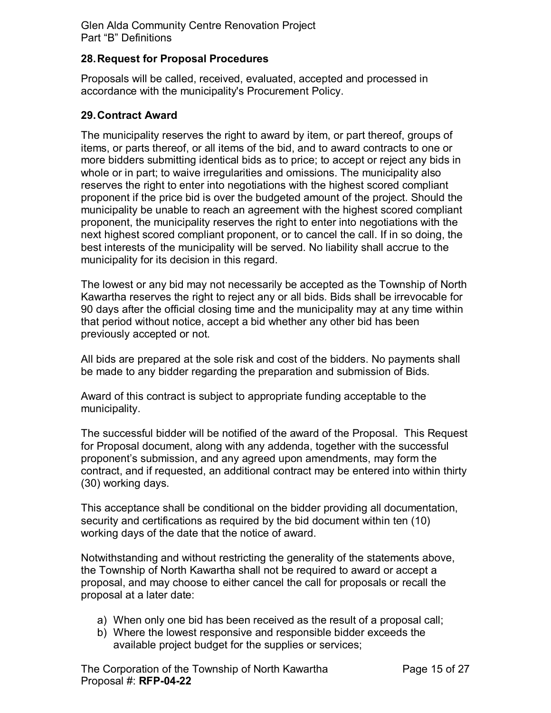#### <span id="page-14-0"></span>**28.Request for Proposal Procedures**

Proposals will be called, received, evaluated, accepted and processed in accordance with the municipality's Procurement Policy.

#### <span id="page-14-1"></span>**29.Contract Award**

 The municipality reserves the right to award by item, or part thereof, groups of more bidders submitting identical bids as to price; to accept or reject any bids in items, or parts thereof, or all items of the bid, and to award contracts to one or whole or in part; to waive irregularities and omissions. The municipality also reserves the right to enter into negotiations with the highest scored compliant proponent if the price bid is over the budgeted amount of the project. Should the municipality be unable to reach an agreement with the highest scored compliant proponent, the municipality reserves the right to enter into negotiations with the next highest scored compliant proponent, or to cancel the call. If in so doing, the best interests of the municipality will be served. No liability shall accrue to the municipality for its decision in this regard.

 that period without notice, accept a bid whether any other bid has been The lowest or any bid may not necessarily be accepted as the Township of North Kawartha reserves the right to reject any or all bids. Bids shall be irrevocable for 90 days after the official closing time and the municipality may at any time within previously accepted or not.

All bids are prepared at the sole risk and cost of the bidders. No payments shall be made to any bidder regarding the preparation and submission of Bids.

Award of this contract is subject to appropriate funding acceptable to the municipality.

 contract, and if requested, an additional contract may be entered into within thirty The successful bidder will be notified of the award of the Proposal. This Request for Proposal document, along with any addenda, together with the successful proponent's submission, and any agreed upon amendments, may form the (30) working days.

working days of the date that the notice of award. This acceptance shall be conditional on the bidder providing all documentation, security and certifications as required by the bid document within ten (10)

Notwithstanding and without restricting the generality of the statements above, the Township of North Kawartha shall not be required to award or accept a proposal, and may choose to either cancel the call for proposals or recall the proposal at a later date:

- a) When only one bid has been received as the result of a proposal call;
- b) Where the lowest responsive and responsible bidder exceeds the available project budget for the supplies or services;

The Corporation of the Township of North Kawartha Proposal #: **RFP-04-22**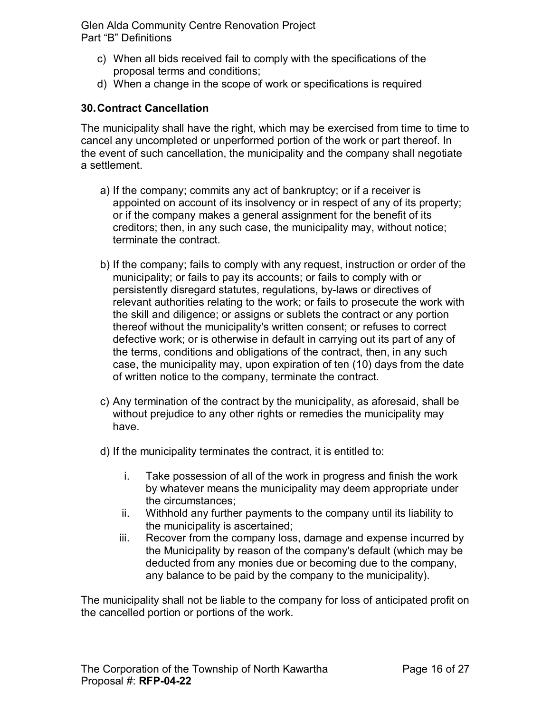- c) When all bids received fail to comply with the specifications of the proposal terms and conditions;
- d) When a change in the scope of work or specifications is required

#### <span id="page-15-0"></span>**30.Contract Cancellation**

The municipality shall have the right, which may be exercised from time to time to cancel any uncompleted or unperformed portion of the work or part thereof. In the event of such cancellation, the municipality and the company shall negotiate a settlement.

- a) If the company; commits any act of bankruptcy; or if a receiver is appointed on account of its insolvency or in respect of any of its property; or if the company makes a general assignment for the benefit of its creditors; then, in any such case, the municipality may, without notice; terminate the contract.
- defective work; or is otherwise in default in carrying out its part of any of b) If the company; fails to comply with any request, instruction or order of the municipality; or fails to pay its accounts; or fails to comply with or persistently disregard statutes, regulations, by-laws or directives of relevant authorities relating to the work; or fails to prosecute the work with the skill and diligence; or assigns or sublets the contract or any portion thereof without the municipality's written consent; or refuses to correct the terms, conditions and obligations of the contract, then, in any such case, the municipality may, upon expiration of ten (10) days from the date of written notice to the company, terminate the contract.
- c) Any termination of the contract by the municipality, as aforesaid, shall be without prejudice to any other rights or remedies the municipality may have.
- d) If the municipality terminates the contract, it is entitled to:
	- i. Take possession of all of the work in progress and finish the work by whatever means the municipality may deem appropriate under the circumstances;
	- ii. Withhold any further payments to the company until its liability to the municipality is ascertained;
	- iii. Recover from the company loss, damage and expense incurred by the Municipality by reason of the company's default (which may be deducted from any monies due or becoming due to the company, any balance to be paid by the company to the municipality).

 The municipality shall not be liable to the company for loss of anticipated profit on the cancelled portion or portions of the work.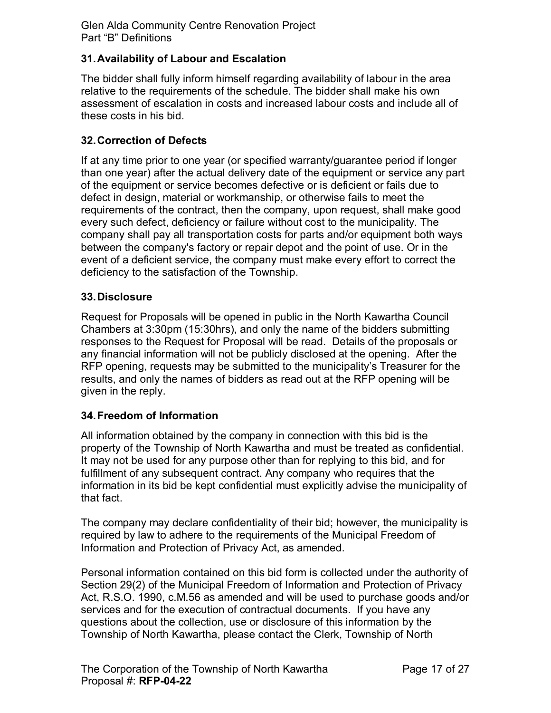# <span id="page-16-0"></span>**31.Availability of Labour and Escalation**

 The bidder shall fully inform himself regarding availability of labour in the area relative to the requirements of the schedule. The bidder shall make his own assessment of escalation in costs and increased labour costs and include all of these costs in his bid.

#### <span id="page-16-1"></span>**32.Correction of Defects**

 If at any time prior to one year (or specified warranty/guarantee period if longer than one year) after the actual delivery date of the equipment or service any part of the equipment or service becomes defective or is deficient or fails due to between the company's factory or repair depot and the point of use. Or in the defect in design, material or workmanship, or otherwise fails to meet the requirements of the contract, then the company, upon request, shall make good every such defect, deficiency or failure without cost to the municipality. The company shall pay all transportation costs for parts and/or equipment both ways event of a deficient service, the company must make every effort to correct the deficiency to the satisfaction of the Township.

#### <span id="page-16-2"></span>**33.Disclosure**

 any financial information will not be publicly disclosed at the opening. After the Request for Proposals will be opened in public in the North Kawartha Council Chambers at 3:30pm (15:30hrs), and only the name of the bidders submitting responses to the Request for Proposal will be read. Details of the proposals or RFP opening, requests may be submitted to the municipality's Treasurer for the results, and only the names of bidders as read out at the RFP opening will be given in the reply.

#### <span id="page-16-3"></span>**34.Freedom of Information**

 information in its bid be kept confidential must explicitly advise the municipality of All information obtained by the company in connection with this bid is the property of the Township of North Kawartha and must be treated as confidential. It may not be used for any purpose other than for replying to this bid, and for fulfillment of any subsequent contract. Any company who requires that the that fact.

 Information and Protection of Privacy Act, as amended. The company may declare confidentiality of their bid; however, the municipality is required by law to adhere to the requirements of the Municipal Freedom of

 services and for the execution of contractual documents. If you have any Personal information contained on this bid form is collected under the authority of Section 29(2) of the Municipal Freedom of Information and Protection of Privacy Act, R.S.O. 1990, c.M.56 as amended and will be used to purchase goods and/or questions about the collection, use or disclosure of this information by the Township of North Kawartha, please contact the Clerk, Township of North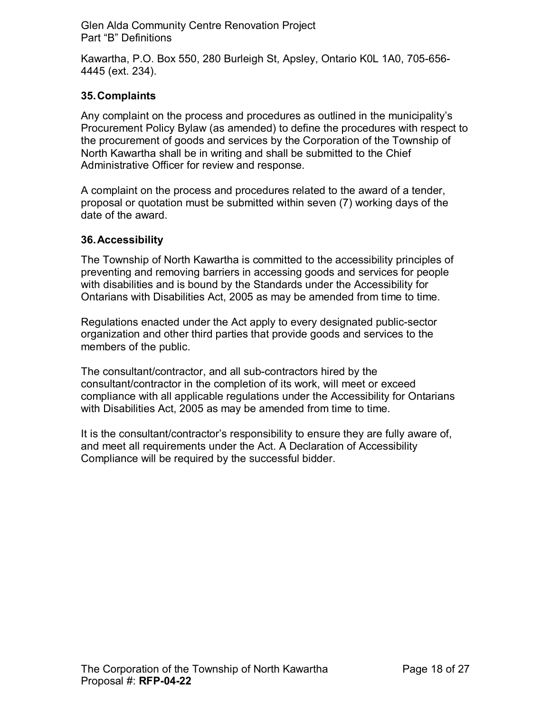4445 (ext. 234). Kawartha, P.O. Box 550, 280 Burleigh St, Apsley, Ontario K0L 1A0, 705-656-

# <span id="page-17-0"></span>**35.Complaints**

 Procurement Policy Bylaw (as amended) to define the procedures with respect to Any complaint on the process and procedures as outlined in the municipality's the procurement of goods and services by the Corporation of the Township of North Kawartha shall be in writing and shall be submitted to the Chief Administrative Officer for review and response.

A complaint on the process and procedures related to the award of a tender, proposal or quotation must be submitted within seven (7) working days of the date of the award.

# <span id="page-17-1"></span>**36.Accessibility**

The Township of North Kawartha is committed to the accessibility principles of preventing and removing barriers in accessing goods and services for people with disabilities and is bound by the Standards under the Accessibility for Ontarians with Disabilities Act, 2005 as may be amended from time to time.

members of the public. Regulations enacted under the Act apply to every designated public-sector organization and other third parties that provide goods and services to the

 consultant/contractor in the completion of its work, will meet or exceed with Disabilities Act, 2005 as may be amended from time to time. The consultant/contractor, and all sub-contractors hired by the compliance with all applicable regulations under the Accessibility for Ontarians

It is the consultant/contractor's responsibility to ensure they are fully aware of, and meet all requirements under the Act. A Declaration of Accessibility Compliance will be required by the successful bidder.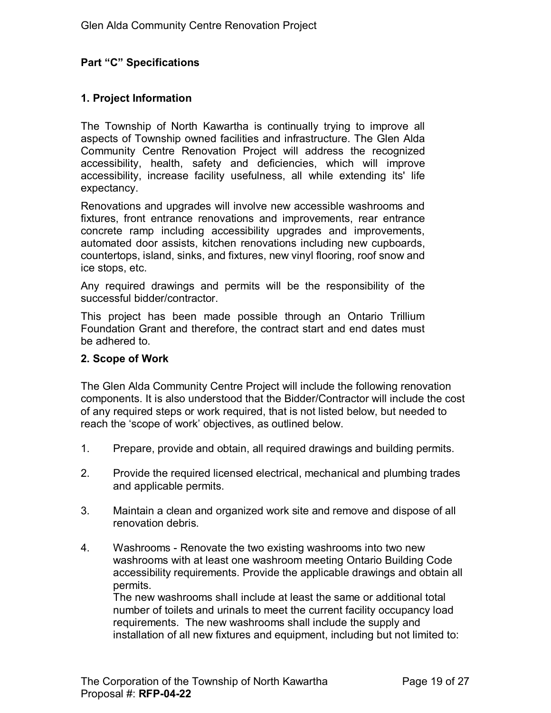# <span id="page-18-0"></span>**Part "C" Specifications**

# <span id="page-18-1"></span>**1. Project Information**

The Township of North Kawartha is continually trying to improve all aspects of Township owned facilities and infrastructure. The Glen Alda Community Centre Renovation Project will address the recognized accessibility, health, safety and deficiencies, which will improve accessibility, increase facility usefulness, all while extending its' life expectancy.

 ice stops, etc. Renovations and upgrades will involve new accessible washrooms and fixtures, front entrance renovations and improvements, rear entrance concrete ramp including accessibility upgrades and improvements, automated door assists, kitchen renovations including new cupboards, countertops, island, sinks, and fixtures, new vinyl flooring, roof snow and

 successful bidder/contractor. Any required drawings and permits will be the responsibility of the

 be adhered to. This project has been made possible through an Ontario Trillium Foundation Grant and therefore, the contract start and end dates must

#### <span id="page-18-2"></span>**2. Scope of Work**

 of any required steps or work required, that is not listed below, but needed to reach the 'scope of work' objectives, as outlined below. The Glen Alda Community Centre Project will include the following renovation components. It is also understood that the Bidder/Contractor will include the cost

- 1. Prepare, provide and obtain, all required drawings and building permits.
- 2. Provide the required licensed electrical, mechanical and plumbing trades and applicable permits.
- 3. Maintain a clean and organized work site and remove and dispose of all renovation debris.
- washrooms with at least one washroom meeting Ontario Building Code 4. Washrooms - Renovate the two existing washrooms into two new accessibility requirements. Provide the applicable drawings and obtain all permits.

 The new washrooms shall include at least the same or additional total number of toilets and urinals to meet the current facility occupancy load requirements. The new washrooms shall include the supply and installation of all new fixtures and equipment, including but not limited to: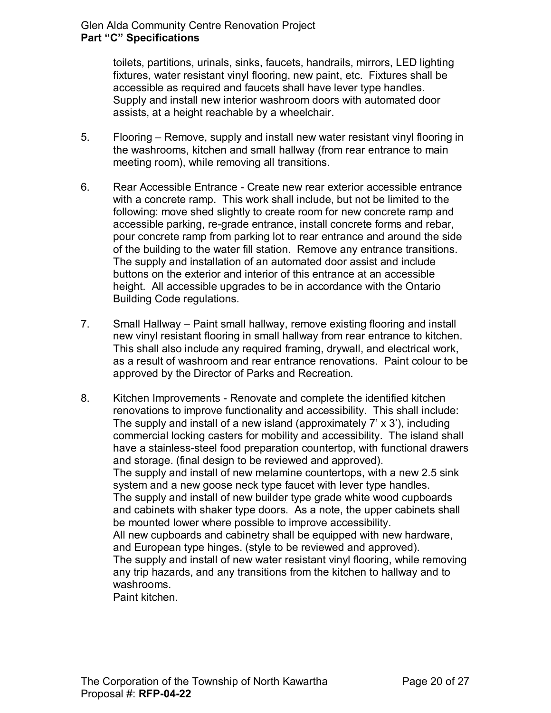fixtures, water resistant vinyl flooring, new paint, etc. Fixtures shall be accessible as required and faucets shall have lever type handles. Supply and install new interior washroom doors with automated door toilets, partitions, urinals, sinks, faucets, handrails, mirrors, LED lighting assists, at a height reachable by a wheelchair.

- 5. Flooring Remove, supply and install new water resistant vinyl flooring in meeting room), while removing all transitions. the washrooms, kitchen and small hallway (from rear entrance to main
- 6. Rear Accessible Entrance Create new rear exterior accessible entrance The supply and installation of an automated door assist and include **Building Code regulations.** with a concrete ramp. This work shall include, but not be limited to the following: move shed slightly to create room for new concrete ramp and accessible parking, re-grade entrance, install concrete forms and rebar, pour concrete ramp from parking lot to rear entrance and around the side of the building to the water fill station. Remove any entrance transitions. buttons on the exterior and interior of this entrance at an accessible height. All accessible upgrades to be in accordance with the Ontario
- Building Code regulations. 7. Small Hallway Paint small hallway, remove existing flooring and install new vinyl resistant flooring in small hallway from rear entrance to kitchen. This shall also include any required framing, drywall, and electrical work, as a result of washroom and rear entrance renovations. Paint colour to be approved by the Director of Parks and Recreation.
- renovations to improve functionality and accessibility. This shall include: The supply and install of a new island (approximately 7' x 3'), including commercial locking casters for mobility and accessibility. The island shall and cabinets with shaker type doors. As a note, the upper cabinets shall and European type hinges. (style to be reviewed and approved). any trip hazards, and any transitions from the kitchen to hallway and to 8. Kitchen Improvements - Renovate and complete the identified kitchen have a stainless-steel food preparation countertop, with functional drawers and storage. (final design to be reviewed and approved). The supply and install of new melamine countertops, with a new 2.5 sink system and a new goose neck type faucet with lever type handles. The supply and install of new builder type grade white wood cupboards be mounted lower where possible to improve accessibility. All new cupboards and cabinetry shall be equipped with new hardware, The supply and install of new water resistant vinyl flooring, while removing washrooms.

Paint kitchen.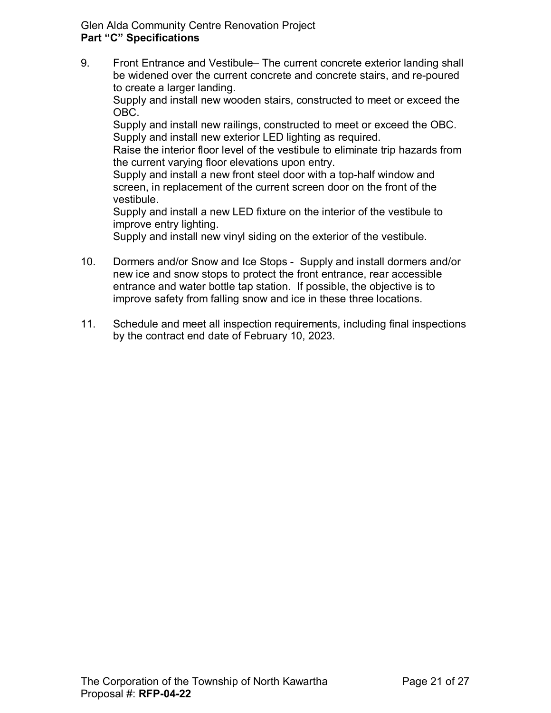9. Front Entrance and Vestibule– The current concrete exterior landing shall be widened over the current concrete and concrete stairs, and re-poured to create a larger landing.

Supply and install new wooden stairs, constructed to meet or exceed the OBC.

Supply and install new railings, constructed to meet or exceed the OBC. Supply and install new exterior LED lighting as required.

the current varying floor elevations upon entry. Raise the interior floor level of the vestibule to eliminate trip hazards from

the current varying floor elevations upon entry.<br>Supply and install a new front steel door with a top-half window and vestibule. screen, in replacement of the current screen door on the front of the

vestibule.<br>Supply and install a new LED fixture on the interior of the vestibule to improve entry lighting.

Supply and install new vinyl siding on the exterior of the vestibule.

- 10. Dormers and/or Snow and Ice Stops Supply and install dormers and/or new ice and snow stops to protect the front entrance, rear accessible entrance and water bottle tap station. If possible, the objective is to improve safety from falling snow and ice in these three locations.
- 11. Schedule and meet all inspection requirements, including final inspections by the contract end date of February 10, 2023. by the contract end date of February 10, 2023.<br> The Corporation of the Township of North Kawartha Page 21 of 27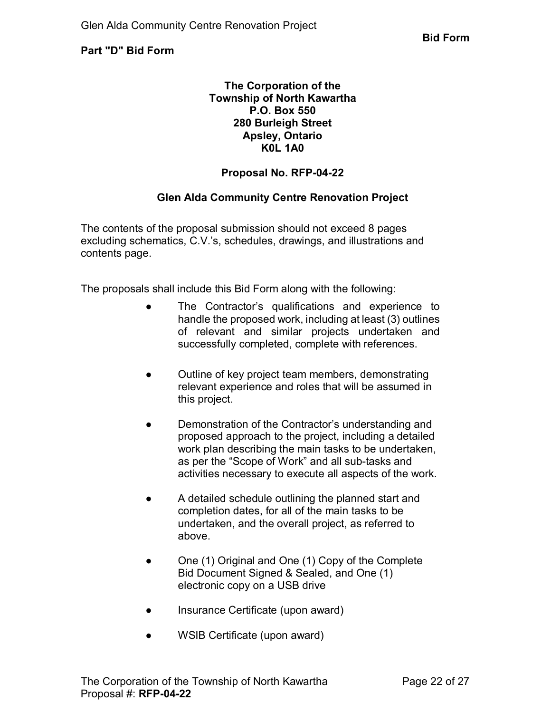<span id="page-21-0"></span>**Part "D" Bid Form** 

#### **The Corporation of the Township of North Kawartha P.O. Box 550 280 Burleigh Street Apsley, Ontario K0L 1A0**

# **Proposal No. RFP-04-22**

# **Glen Alda Community Centre Renovation Project**

The contents of the proposal submission should not exceed 8 pages excluding schematics, C.V.'s, schedules, drawings, and illustrations and contents page.

The proposals shall include this Bid Form along with the following:

- successfully completed, complete with references. ● The Contractor's qualifications and experience to handle the proposed work, including at least (3) outlines of relevant and similar projects undertaken and
- Outline of key project team members, demonstrating relevant experience and roles that will be assumed in this project.
- as per the "Scope of Work" and all sub-tasks and ● Demonstration of the Contractor's understanding and proposed approach to the project, including a detailed work plan describing the main tasks to be undertaken, activities necessary to execute all aspects of the work.
- above. ● A detailed schedule outlining the planned start and completion dates, for all of the main tasks to be undertaken, and the overall project, as referred to
- One (1) Original and One (1) Copy of the Complete Bid Document Signed & Sealed, and One (1) electronic copy on a USB drive
- Insurance Certificate (upon award)
- WSIB Certificate (upon award)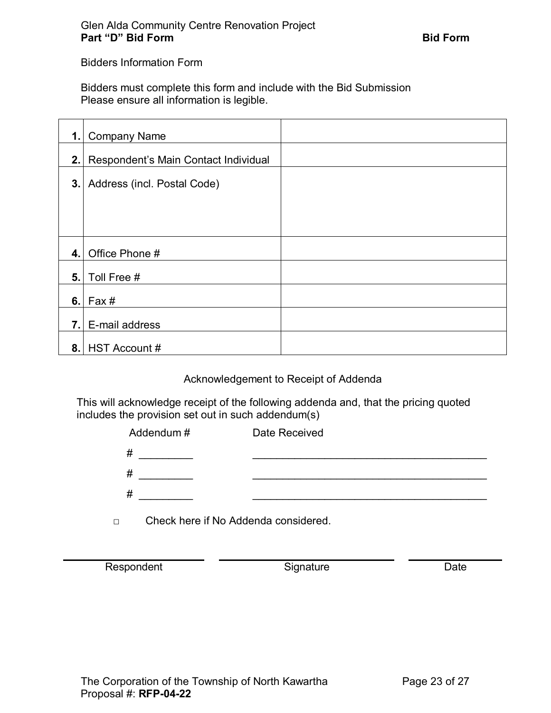Bidders Information Form

Bidders must complete this form and include with the Bid Submission Please ensure all information is legible.

| 1.1 | <b>Company Name</b>                  |  |
|-----|--------------------------------------|--|
| 2.1 | Respondent's Main Contact Individual |  |
| 3.1 | Address (incl. Postal Code)          |  |
|     |                                      |  |
|     |                                      |  |
| 4.1 | Office Phone #                       |  |
| 5.1 | Toll Free #                          |  |
| 6.  | Fax#                                 |  |
| 7.1 | E-mail address                       |  |
| 8.1 | <b>HST Account #</b>                 |  |

#### Acknowledgement to Receipt of Addenda

This will acknowledge receipt of the following addenda and, that the pricing quoted includes the provision set out in such addendum(s)

| Addendum# | Date Received |
|-----------|---------------|
| #         |               |
| #         |               |
| #         |               |
|           |               |

□ Check here if No Addenda considered.

Respondent **Contract Contract Contract Contract Contract Contract Contract Contract Contract Contract Contract Contract Contract Contract Contract Contract Contract Contract Contract Contract Contract Contract Contract Con**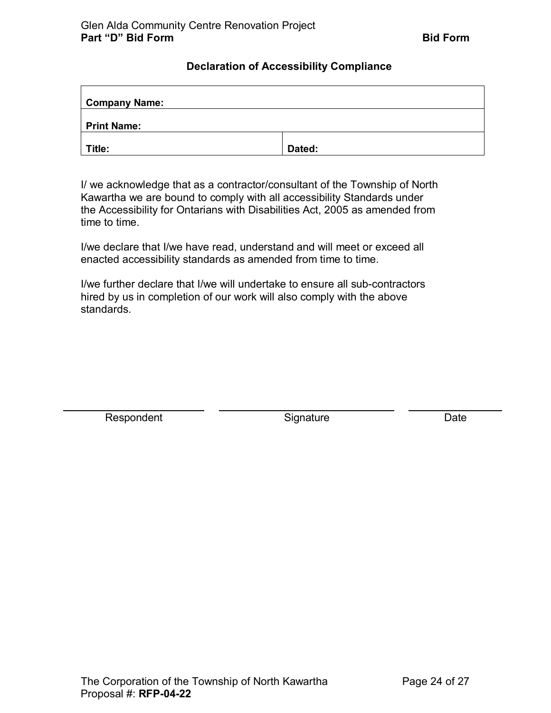#### **Declaration of Accessibility Compliance**

<span id="page-23-0"></span>

| <b>Company Name:</b> |        |
|----------------------|--------|
| Print Name:          |        |
| Title:               | Dated: |

 Kawartha we are bound to comply with all accessibility Standards under I/ we acknowledge that as a contractor/consultant of the Township of North the Accessibility for Ontarians with Disabilities Act, 2005 as amended from time to time.

I/we declare that I/we have read, understand and will meet or exceed all enacted accessibility standards as amended from time to time.

I/we further declare that I/we will undertake to ensure all sub-contractors hired by us in completion of our work will also comply with the above standards.

Respondent **Signature** Signature Date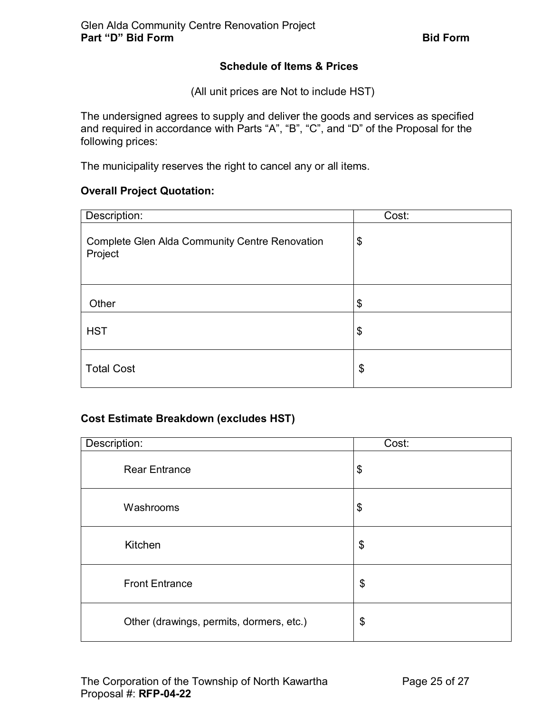# **Schedule of Items & Prices**

(All unit prices are Not to include HST)

<span id="page-24-0"></span>The undersigned agrees to supply and deliver the goods and services as specified and required in accordance with Parts "A", "B", "C", and "D" of the Proposal for the following prices:

The municipality reserves the right to cancel any or all items.

# **Overall Project Quotation:**

| Description:                                                     | Cost: |
|------------------------------------------------------------------|-------|
| <b>Complete Glen Alda Community Centre Renovation</b><br>Project | \$    |
| Other                                                            | \$    |
| <b>HST</b>                                                       | \$    |
| <b>Total Cost</b>                                                | \$    |

# **Cost Estimate Breakdown (excludes HST)**

| Description:                             | Cost: |
|------------------------------------------|-------|
| <b>Rear Entrance</b>                     | \$    |
| Washrooms                                | \$    |
| Kitchen                                  | \$    |
| <b>Front Entrance</b>                    | \$    |
| Other (drawings, permits, dormers, etc.) | \$    |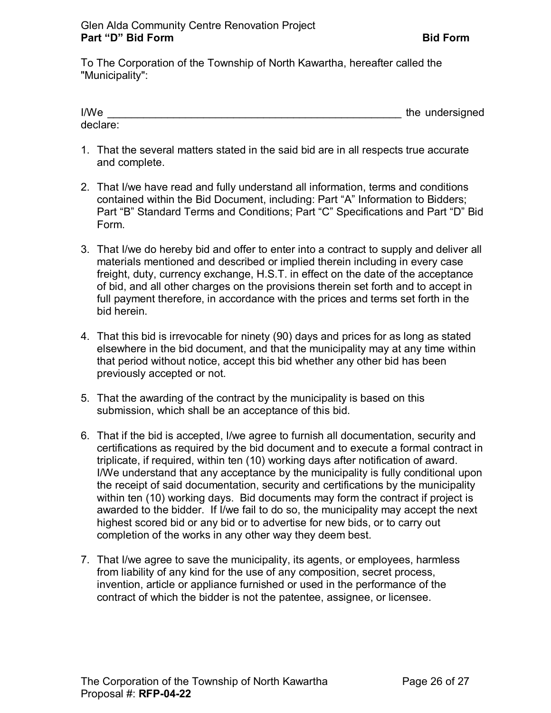To The Corporation of the Township of North Kawartha, hereafter called the "Municipality":

| I/We     | the undersigned |
|----------|-----------------|
| declare: |                 |

- 1. That the several matters stated in the said bid are in all respects true accurate and complete.
- 2. That I/we have read and fully understand all information, terms and conditions contained within the Bid Document, including: Part "A" Information to Bidders; Part "B" Standard Terms and Conditions; Part "C" Specifications and Part "D" Bid Form.
- freight, duty, currency exchange, H.S.T. in effect on the date of the acceptance 3. That I/we do hereby bid and offer to enter into a contract to supply and deliver all materials mentioned and described or implied therein including in every case of bid, and all other charges on the provisions therein set forth and to accept in full payment therefore, in accordance with the prices and terms set forth in the bid herein.
- 4. That this bid is irrevocable for ninety (90) days and prices for as long as stated that period without notice, accept this bid whether any other bid has been elsewhere in the bid document, and that the municipality may at any time within previously accepted or not.
- 5. That the awarding of the contract by the municipality is based on this submission, which shall be an acceptance of this bid.
- 6. That if the bid is accepted, I/we agree to furnish all documentation, security and within ten (10) working days. Bid documents may form the contract if project is awarded to the bidder. If I/we fail to do so, the municipality may accept the next completion of the works in any other way they deem best. certifications as required by the bid document and to execute a formal contract in triplicate, if required, within ten (10) working days after notification of award. I/We understand that any acceptance by the municipality is fully conditional upon the receipt of said documentation, security and certifications by the municipality highest scored bid or any bid or to advertise for new bids, or to carry out
- 7. That I/we agree to save the municipality, its agents, or employees, harmless from liability of any kind for the use of any composition, secret process, invention, article or appliance furnished or used in the performance of the contract of which the bidder is not the patentee, assignee, or licensee.